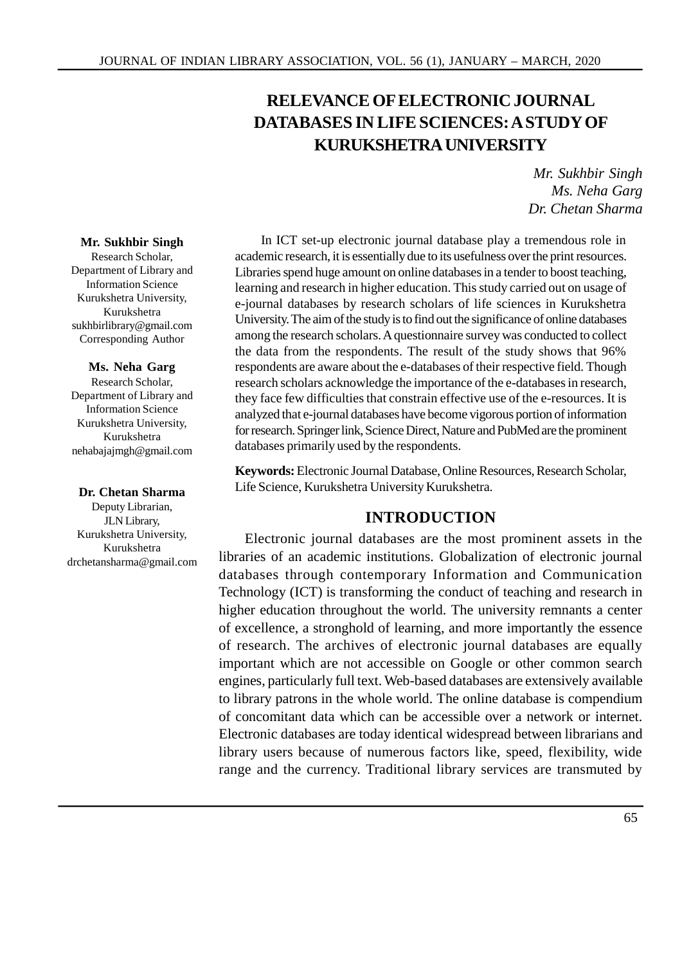# **RELEVANCE OF ELECTRONIC JOURNAL DATABASES IN LIFE SCIENCES: A STUDY OF KURUKSHETRA UNIVERSITY**

*Mr. Sukhbir Singh Ms. Neha Garg Dr. Chetan Sharma*

#### **Mr. Sukhbir Singh**

Research Scholar, Department of Library and Information Science Kurukshetra University, Kurukshetra sukhbirlibrary@gmail.com Corresponding Author

#### **Ms. Neha Garg**

Research Scholar, Department of Library and Information Science Kurukshetra University, Kurukshetra nehabajajmgh@gmail.com

#### **Dr. Chetan Sharma**

Deputy Librarian, JLN Library, Kurukshetra University, Kurukshetra drchetansharma@gmail.com

In ICT set-up electronic journal database play a tremendous role in academic research, it is essentially due to its usefulness over the print resources. Libraries spend huge amount on online databases in a tender to boost teaching, learning and research in higher education. This study carried out on usage of e-journal databases by research scholars of life sciences in Kurukshetra University. The aim of the study is to find out the significance of online databases among the research scholars. A questionnaire survey was conducted to collect the data from the respondents. The result of the study shows that 96% respondents are aware about the e-databases of their respective field. Though research scholars acknowledge the importance of the e-databases in research, they face few difficulties that constrain effective use of the e-resources. It is analyzed that e-journal databases have become vigorous portion of information for research. Springer link, Science Direct, Nature and PubMed are the prominent databases primarily used by the respondents.

**Keywords:** Electronic Journal Database, Online Resources, Research Scholar, Life Science, Kurukshetra University Kurukshetra.

#### **INTRODUCTION**

Electronic journal databases are the most prominent assets in the libraries of an academic institutions. Globalization of electronic journal databases through contemporary Information and Communication Technology (ICT) is transforming the conduct of teaching and research in higher education throughout the world. The university remnants a center of excellence, a stronghold of learning, and more importantly the essence of research. The archives of electronic journal databases are equally important which are not accessible on Google or other common search engines, particularly full text. Web-based databases are extensively available to library patrons in the whole world. The online database is compendium of concomitant data which can be accessible over a network or internet. Electronic databases are today identical widespread between librarians and library users because of numerous factors like, speed, flexibility, wide range and the currency. Traditional library services are transmuted by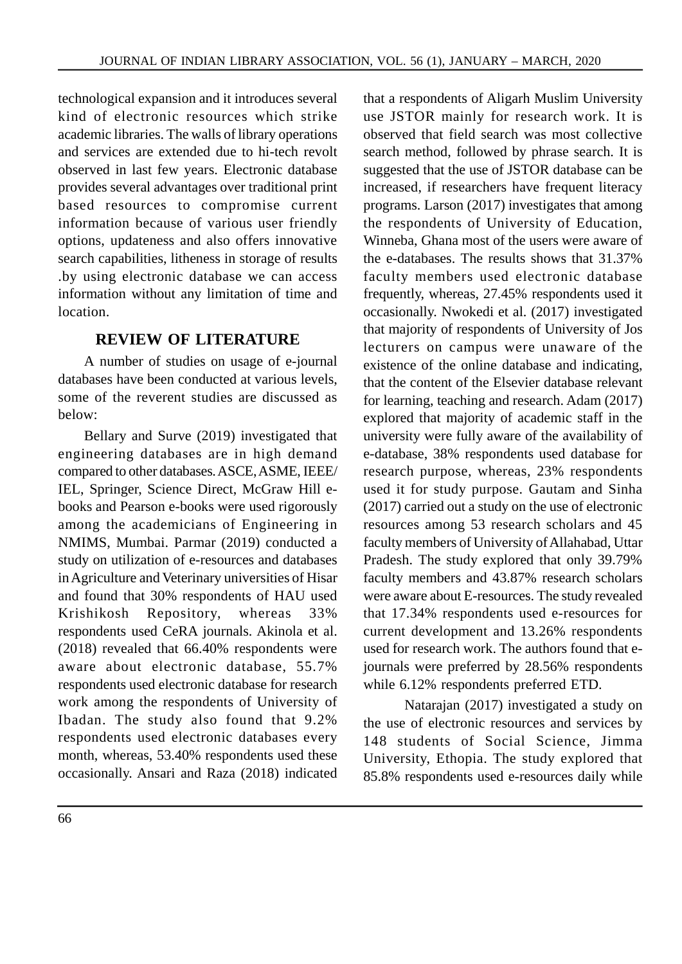technological expansion and it introduces several kind of electronic resources which strike academic libraries. The walls of library operations and services are extended due to hi-tech revolt observed in last few years. Electronic database provides several advantages over traditional print based resources to compromise current information because of various user friendly options, updateness and also offers innovative search capabilities, litheness in storage of results .by using electronic database we can access information without any limitation of time and location.

## **REVIEW OF LITERATURE**

A number of studies on usage of e-journal databases have been conducted at various levels, some of the reverent studies are discussed as below:

Bellary and Surve (2019) investigated that engineering databases are in high demand compared to other databases. ASCE, ASME, IEEE/ IEL, Springer, Science Direct, McGraw Hill ebooks and Pearson e-books were used rigorously among the academicians of Engineering in NMIMS, Mumbai. Parmar (2019) conducted a study on utilization of e-resources and databases in Agriculture and Veterinary universities of Hisar and found that 30% respondents of HAU used Krishikosh Repository, whereas 33% respondents used CeRA journals. Akinola et al. (2018) revealed that 66.40% respondents were aware about electronic database, 55.7% respondents used electronic database for research work among the respondents of University of Ibadan. The study also found that 9.2% respondents used electronic databases every month, whereas, 53.40% respondents used these occasionally. Ansari and Raza (2018) indicated that a respondents of Aligarh Muslim University use JSTOR mainly for research work. It is observed that field search was most collective search method, followed by phrase search. It is suggested that the use of JSTOR database can be increased, if researchers have frequent literacy programs. Larson (2017) investigates that among the respondents of University of Education, Winneba, Ghana most of the users were aware of the e-databases. The results shows that 31.37% faculty members used electronic database frequently, whereas, 27.45% respondents used it occasionally. Nwokedi et al. (2017) investigated that majority of respondents of University of Jos lecturers on campus were unaware of the existence of the online database and indicating, that the content of the Elsevier database relevant for learning, teaching and research. Adam (2017) explored that majority of academic staff in the university were fully aware of the availability of e-database, 38% respondents used database for research purpose, whereas, 23% respondents used it for study purpose. Gautam and Sinha (2017) carried out a study on the use of electronic resources among 53 research scholars and 45 faculty members of University of Allahabad, Uttar Pradesh. The study explored that only 39.79% faculty members and 43.87% research scholars were aware about E-resources. The study revealed that 17.34% respondents used e-resources for current development and 13.26% respondents used for research work. The authors found that ejournals were preferred by 28.56% respondents while 6.12% respondents preferred ETD.

Natarajan (2017) investigated a study on the use of electronic resources and services by 148 students of Social Science, Jimma University, Ethopia. The study explored that 85.8% respondents used e-resources daily while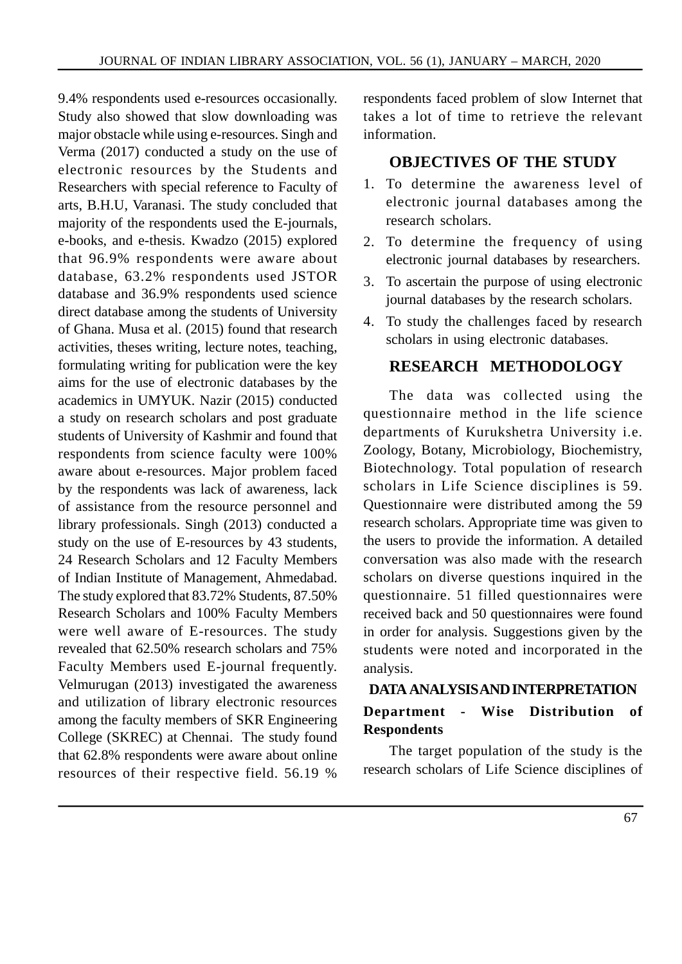9.4% respondents used e-resources occasionally. Study also showed that slow downloading was major obstacle while using e-resources. Singh and Verma (2017) conducted a study on the use of electronic resources by the Students and Researchers with special reference to Faculty of arts, B.H.U, Varanasi. The study concluded that majority of the respondents used the E-journals, e-books, and e-thesis. Kwadzo (2015) explored that 96.9% respondents were aware about database, 63.2% respondents used JSTOR database and 36.9% respondents used science direct database among the students of University of Ghana. Musa et al. (2015) found that research activities, theses writing, lecture notes, teaching, formulating writing for publication were the key aims for the use of electronic databases by the academics in UMYUK. Nazir (2015) conducted a study on research scholars and post graduate students of University of Kashmir and found that respondents from science faculty were 100% aware about e-resources. Major problem faced by the respondents was lack of awareness, lack of assistance from the resource personnel and library professionals. Singh (2013) conducted a study on the use of E-resources by 43 students, 24 Research Scholars and 12 Faculty Members of Indian Institute of Management, Ahmedabad. The study explored that 83.72% Students, 87.50% Research Scholars and 100% Faculty Members were well aware of E-resources. The study revealed that 62.50% research scholars and 75% Faculty Members used E-journal frequently. Velmurugan (2013) investigated the awareness and utilization of library electronic resources<br> **Department** among the faculty members of SKR Engineering College (SKREC) at Chennai. The study found that 62.8% respondents were aware about online resources of their respective field. 56.19 %

respondents faced problem of slow Internet that takes a lot of time to retrieve the relevant information.

#### **OBJECTIVES OF THE STUDY**

- 1. To determine the awareness level of electronic journal databases among the research scholars.
- 2. To determine the frequency of using electronic journal databases by researchers.
- 3. To ascertain the purpose of using electronic journal databases by the research scholars.
- 4. To study the challenges faced by research scholars in using electronic databases.

#### **RESEARCH METHODOLOGY**

The data was collected using the questionnaire method in the life science departments of Kurukshetra University i.e. Zoology, Botany, Microbiology, Biochemistry, Biotechnology. Total population of research scholars in Life Science disciplines is 59. Questionnaire were distributed among the 59 research scholars. Appropriate time was given to the users to provide the information. A detailed conversation was also made with the research scholars on diverse questions inquired in the questionnaire. 51 filled questionnaires were received back and 50 questionnaires were found in order for analysis. Suggestions given by the students were noted and incorporated in the analysis.

## **DATA ANALYSIS AND INTERPRETATION Wise Distribution of Respondents**

The target population of the study is the research scholars of Life Science disciplines of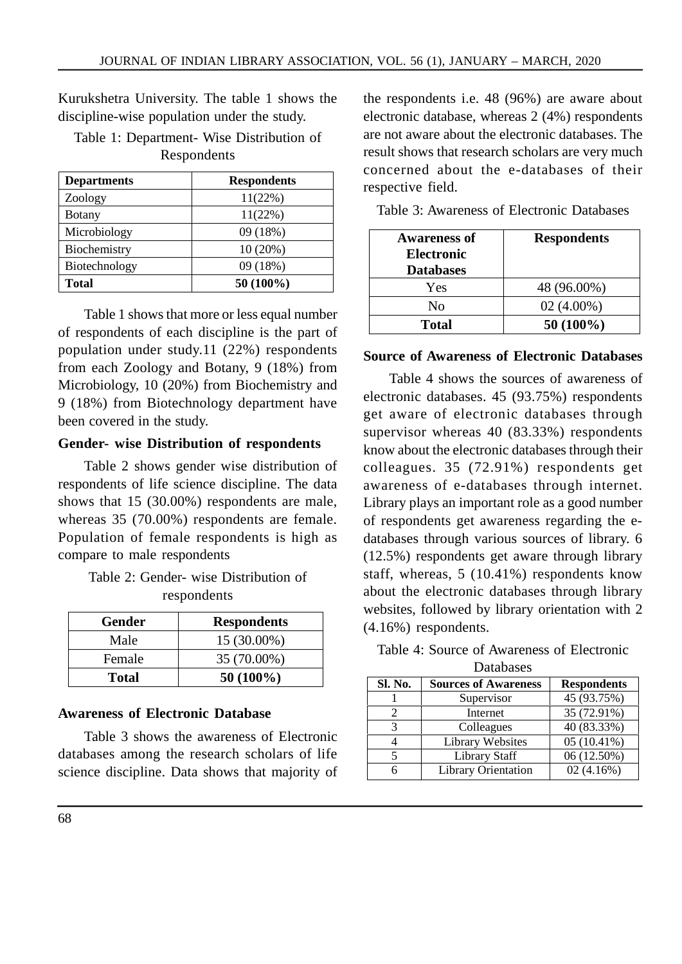Kurukshetra University. The table 1 shows the discipline-wise population under the study.

## Table 1: Department- Wise Distribution of Respondents

| <b>Departments</b> | <b>Respondents</b> |
|--------------------|--------------------|
| Zoology            | 11(22%)            |
| <b>Botany</b>      | 11(22%)            |
| Microbiology       | 09 (18%)           |
| Biochemistry       | 10(20%)            |
| Biotechnology      | 09 (18%)           |
| <b>Total</b>       | 50 (100%)          |

Table 1 shows that more or less equal number of respondents of each discipline is the part of population under study.11 (22%) respondents from each Zoology and Botany, 9 (18%) from Microbiology, 10 (20%) from Biochemistry and 9 (18%) from Biotechnology department have been covered in the study.

#### **Gender- wise Distribution of respondents**

Table 2 shows gender wise distribution of respondents of life science discipline. The data shows that 15 (30.00%) respondents are male, whereas 35 (70.00%) respondents are female. Population of female respondents is high as compare to male respondents

| Table 2: Gender- wise Distribution of |  |
|---------------------------------------|--|
| respondents                           |  |

| Gender | <b>Respondents</b> |
|--------|--------------------|
| Male   | 15 (30.00%)        |
| Female | 35 (70.00%)        |
| Total  | $50(100\%)$        |

## **Awareness of Electronic Database**

Table 3 shows the awareness of Electronic databases among the research scholars of life science discipline. Data shows that majority of the respondents i.e. 48 (96%) are aware about electronic database, whereas 2 (4%) respondents are not aware about the electronic databases. The result shows that research scholars are very much concerned about the e-databases of their respective field.

|  | Table 3: Awareness of Electronic Databases |  |
|--|--------------------------------------------|--|
|--|--------------------------------------------|--|

| <b>Awareness of</b><br><b>Electronic</b><br><b>Databases</b> | <b>Respondents</b> |
|--------------------------------------------------------------|--------------------|
| Yes                                                          | 48 (96.00%)        |
| Nο                                                           | $02(4.00\%)$       |
| Total                                                        | $50(100\%)$        |

#### **Source of Awareness of Electronic Databases**

Table 4 shows the sources of awareness of electronic databases. 45 (93.75%) respondents get aware of electronic databases through supervisor whereas 40 (83.33%) respondents know about the electronic databases through their colleagues. 35 (72.91%) respondents get awareness of e-databases through internet. Library plays an important role as a good number of respondents get awareness regarding the edatabases through various sources of library. 6 (12.5%) respondents get aware through library staff, whereas, 5 (10.41%) respondents know about the electronic databases through library websites, followed by library orientation with 2 (4.16%) respondents.

| Table 4: Source of Awareness of Electronic |  |
|--------------------------------------------|--|
| Databases                                  |  |

|         | Dalabascs                   |                    |
|---------|-----------------------------|--------------------|
| Sl. No. | <b>Sources of Awareness</b> | <b>Respondents</b> |
|         | Supervisor                  | 45 (93.75%)        |
| 2       | Internet                    | 35 (72.91%)        |
| 3       | Colleagues                  | 40 (83.33%)        |
|         | <b>Library Websites</b>     | $05(10.41\%)$      |
| 5       | <b>Library Staff</b>        | 06 (12.50%)        |
| 6       | <b>Library Orientation</b>  | 02(4.16%)          |
|         |                             |                    |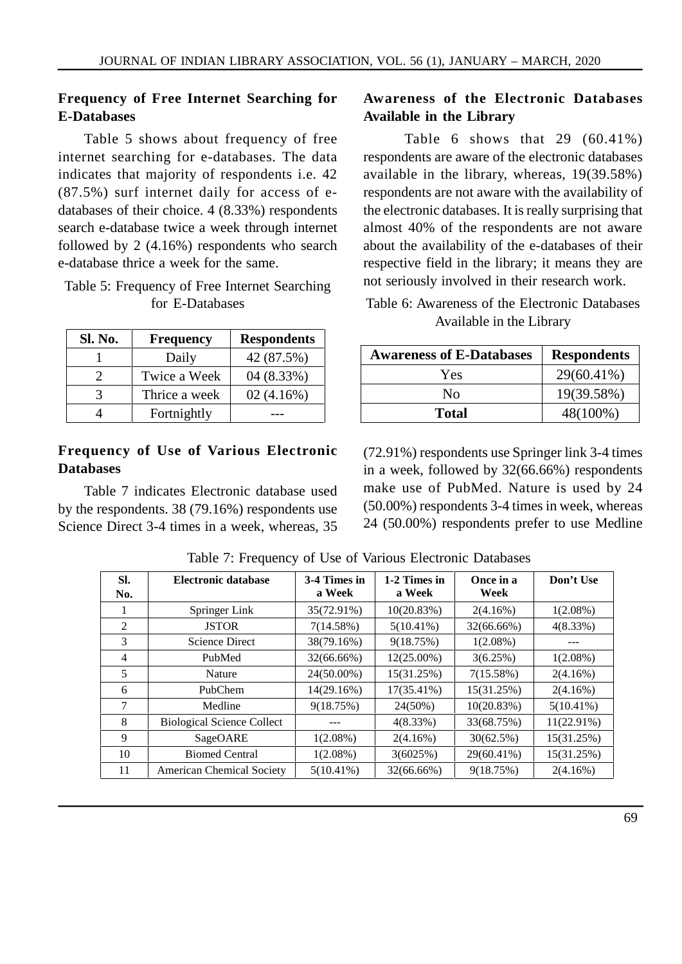## **Frequency of Free Internet Searching for E-Databases**

Table 5 shows about frequency of free internet searching for e-databases. The data indicates that majority of respondents i.e. 42 (87.5%) surf internet daily for access of edatabases of their choice. 4 (8.33%) respondents search e-database twice a week through internet followed by 2 (4.16%) respondents who search e-database thrice a week for the same.

### Table 5: Frequency of Free Internet Searching for E-Databases

| Sl. No. | <b>Frequency</b> | <b>Respondents</b> |
|---------|------------------|--------------------|
|         | Daily            | 42 (87.5%)         |
|         | Twice a Week     | 04 (8.33%)         |
|         | Thrice a week    | 02(4.16%)          |
|         | Fortnightly      |                    |

### **Frequency of Use of Various Electronic Databases**

Table 7 indicates Electronic database used by the respondents. 38 (79.16%) respondents use Science Direct 3-4 times in a week, whereas, 35

## **Awareness of the Electronic Databases Available in the Library**

Table 6 shows that  $29$  (60.41%) respondents are aware of the electronic databases available in the library, whereas, 19(39.58%) respondents are not aware with the availability of the electronic databases. It is really surprising that almost 40% of the respondents are not aware about the availability of the e-databases of their respective field in the library; it means they are not seriously involved in their research work.

Table 6: Awareness of the Electronic Databases Available in the Library

| <b>Awareness of E-Databases</b> | <b>Respondents</b> |
|---------------------------------|--------------------|
| Yes                             | 29(60.41%)         |
| Nο                              | 19(39.58%)         |
| <b>Total</b>                    | 48(100%)           |

(72.91%) respondents use Springer link 3-4 times in a week, followed by 32(66.66%) respondents make use of PubMed. Nature is used by 24 (50.00%) respondents 3-4 times in week, whereas 24 (50.00%) respondents prefer to use Medline

| Sl.            | Electronic database               | 3-4 Times in  | 1-2 Times in | Once in a   | Don't Use    |
|----------------|-----------------------------------|---------------|--------------|-------------|--------------|
| No.            |                                   | a Week        | a Week       | Week        |              |
|                | Springer Link                     | 35(72.91%)    | 10(20.83%)   | $2(4.16\%)$ | $1(2.08\%)$  |
| 2              | <b>JSTOR</b>                      | 7(14.58%)     | $5(10.41\%)$ | 32(66.66%)  | $4(8.33\%)$  |
| 3              | <b>Science Direct</b>             | 38(79.16%)    | 9(18.75%)    | $1(2.08\%)$ | ---          |
| $\overline{4}$ | PubMed                            | 32(66.66%)    | 12(25.00%)   | 3(6.25%)    | $1(2.08\%)$  |
| 5              | Nature                            | 24(50.00%)    | 15(31.25%)   | 7(15.58%)   | $2(4.16\%)$  |
| 6              | PubChem                           | $14(29.16\%)$ | 17(35.41%)   | 15(31.25%)  | $2(4.16\%)$  |
| 7              | Medline                           | 9(18.75%)     | 24(50%)      | 10(20.83%)  | $5(10.41\%)$ |
| 8              | <b>Biological Science Collect</b> |               | $4(8.33\%)$  | 33(68.75%)  | 11(22.91%)   |
| 9              | SageOARE                          | $1(2.08\%)$   | 2(4.16%)     | 30(62.5%)   | 15(31.25%)   |
| 10             | <b>Biomed Central</b>             | $1(2.08\%)$   | 3(6025%)     | 29(60.41%)  | 15(31.25%)   |
| 11             | <b>American Chemical Society</b>  | $5(10.41\%)$  | 32(66.66%)   | 9(18.75%)   | $2(4.16\%)$  |

Table 7: Frequency of Use of Various Electronic Databases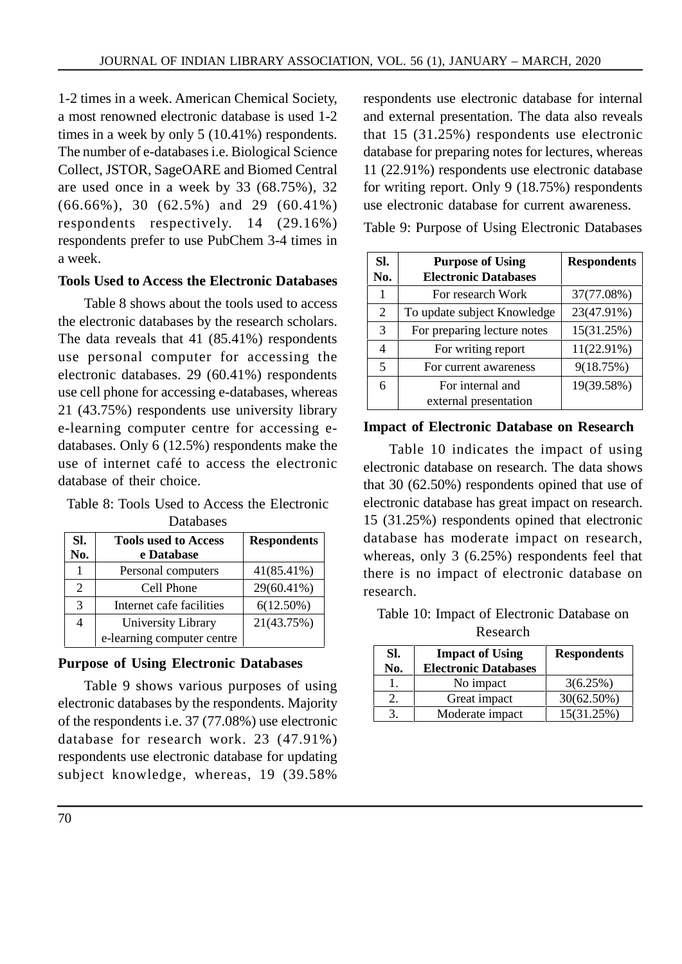1-2 times in a week. American Chemical Society, a most renowned electronic database is used 1-2 times in a week by only 5 (10.41%) respondents. The number of e-databases i.e. Biological Science Collect, JSTOR, SageOARE and Biomed Central are used once in a week by 33 (68.75%), 32 (66.66%), 30 (62.5%) and 29 (60.41%) respondents respectively. 14 (29.16%) respondents prefer to use PubChem 3-4 times in a week.

### **Tools Used to Access the Electronic Databases**

Table 8 shows about the tools used to access the electronic databases by the research scholars. The data reveals that 41 (85.41%) respondents use personal computer for accessing the electronic databases. 29 (60.41%) respondents use cell phone for accessing e-databases, whereas 21 (43.75%) respondents use university library e-learning computer centre for accessing edatabases. Only 6 (12.5%) respondents make the use of internet café to access the electronic database of their choice.

Table 8: Tools Used to Access the Electronic Databases

| Sl.<br>No.     | <b>Tools used to Access</b><br>e Database | <b>Respondents</b> |
|----------------|-------------------------------------------|--------------------|
|                | Personal computers                        | 41(85.41%)         |
| $\overline{c}$ | Cell Phone                                | 29(60.41%)         |
| 3              | Internet cafe facilities                  | $6(12.50\%)$       |
| 4              | University Library                        | 21(43.75%)         |
|                | e-learning computer centre                |                    |

## **Purpose of Using Electronic Databases**

Table 9 shows various purposes of using electronic databases by the respondents. Majority of the respondents i.e. 37 (77.08%) use electronic database for research work. 23 (47.91%) respondents use electronic database for updating subject knowledge, whereas, 19 (39.58%

respondents use electronic database for internal and external presentation. The data also reveals that 15 (31.25%) respondents use electronic database for preparing notes for lectures, whereas 11 (22.91%) respondents use electronic database for writing report. Only 9 (18.75%) respondents use electronic database for current awareness.

Table 9: Purpose of Using Electronic Databases

| SI.<br>No.              | <b>Purpose of Using</b><br><b>Electronic Databases</b> | <b>Respondents</b> |
|-------------------------|--------------------------------------------------------|--------------------|
|                         | For research Work                                      | 37(77.08%)         |
| 2                       | To update subject Knowledge                            | 23(47.91%)         |
| 3                       | For preparing lecture notes                            | 15(31.25%)         |
| 4                       | For writing report                                     | $11(22.91\%)$      |
| $\overline{\mathbf{5}}$ | For current awareness                                  | 9(18.75%)          |
| 6                       | For internal and                                       | 19(39.58%)         |
|                         | external presentation                                  |                    |

#### **Impact of Electronic Database on Research**

Table 10 indicates the impact of using electronic database on research. The data shows that 30 (62.50%) respondents opined that use of electronic database has great impact on research. 15 (31.25%) respondents opined that electronic database has moderate impact on research, whereas, only 3 (6.25%) respondents feel that there is no impact of electronic database on research.

Table 10: Impact of Electronic Database on Research

| SI.<br>No. | <b>Impact of Using</b><br><b>Electronic Databases</b> | <b>Respondents</b> |
|------------|-------------------------------------------------------|--------------------|
|            | No impact                                             | 3(6.25%)           |
|            | Great impact                                          | $30(62.50\%)$      |
|            | Moderate impact                                       | 15(31.25%)         |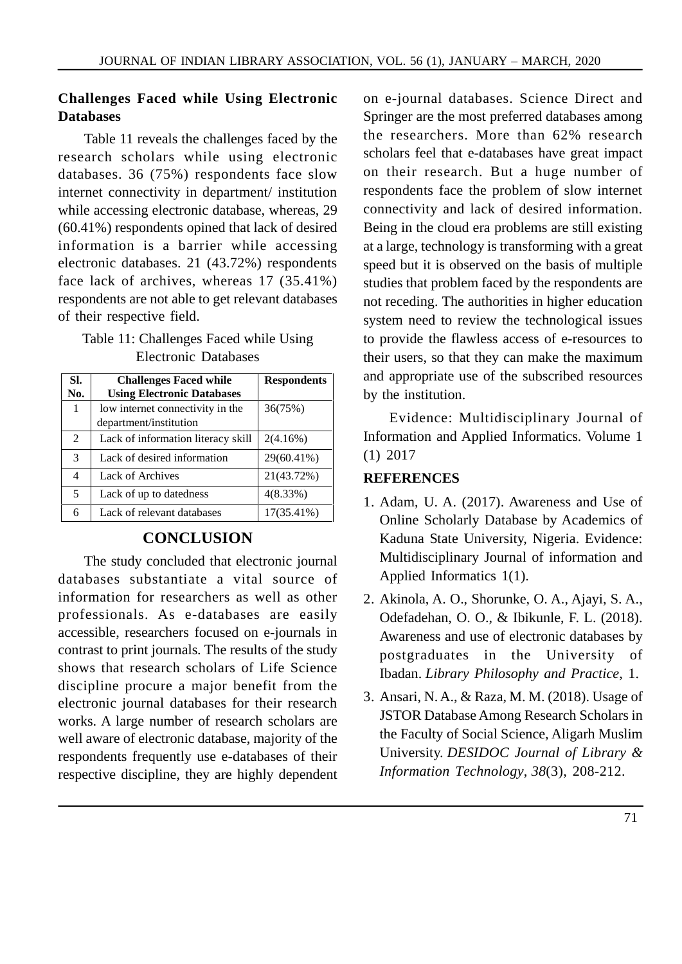## **Challenges Faced while Using Electronic Databases**

Table 11 reveals the challenges faced by the research scholars while using electronic databases. 36 (75%) respondents face slow internet connectivity in department/ institution while accessing electronic database, whereas, 29 (60.41%) respondents opined that lack of desired information is a barrier while accessing electronic databases. 21 (43.72%) respondents face lack of archives, whereas 17 (35.41%) respondents are not able to get relevant databases of their respective field.

## Table 11: Challenges Faced while Using Electronic Databases

| SI.           | <b>Challenges Faced while</b>      | <b>Respondents</b> |
|---------------|------------------------------------|--------------------|
| No.           | <b>Using Electronic Databases</b>  |                    |
| 1             | low internet connectivity in the   | 36(75%)            |
|               | department/institution             |                    |
| $\mathcal{L}$ | Lack of information literacy skill | $2(4.16\%)$        |
| 3             | Lack of desired information        | 29(60.41%)         |
| 4             | Lack of Archives                   | 21(43.72%)         |
| 5             | Lack of up to datedness            | 4(8.33%)           |
| 6             | Lack of relevant databases         | $17(35.41\%)$      |

## **CONCLUSION**

The study concluded that electronic journal databases substantiate a vital source of information for researchers as well as other professionals. As e-databases are easily accessible, researchers focused on e-journals in contrast to print journals. The results of the study shows that research scholars of Life Science discipline procure a major benefit from the electronic journal databases for their research works. A large number of research scholars are well aware of electronic database, majority of the respondents frequently use e-databases of their respective discipline, they are highly dependent

on e-journal databases. Science Direct and Springer are the most preferred databases among the researchers. More than 62% research scholars feel that e-databases have great impact on their research. But a huge number of respondents face the problem of slow internet connectivity and lack of desired information. Being in the cloud era problems are still existing at a large, technology is transforming with a great speed but it is observed on the basis of multiple studies that problem faced by the respondents are not receding. The authorities in higher education system need to review the technological issues to provide the flawless access of e-resources to their users, so that they can make the maximum and appropriate use of the subscribed resources by the institution.

Evidence: Multidisciplinary Journal of Information and Applied Informatics. Volume 1 (1) 2017

### **REFERENCES**

- 1. Adam, U. A. (2017). Awareness and Use of Online Scholarly Database by Academics of Kaduna State University, Nigeria. Evidence: Multidisciplinary Journal of information and Applied Informatics 1(1).
- 2. Akinola, A. O., Shorunke, O. A., Ajayi, S. A., Odefadehan, O. O., & Ibikunle, F. L. (2018). Awareness and use of electronic databases by postgraduates in the University of Ibadan. *Library Philosophy and Practice*, 1.
- 3. Ansari, N. A., & Raza, M. M. (2018). Usage of JSTOR Database Among Research Scholars in the Faculty of Social Science, Aligarh Muslim University. *DESIDOC Journal of Library & Information Technology*, *38*(3), 208-212.